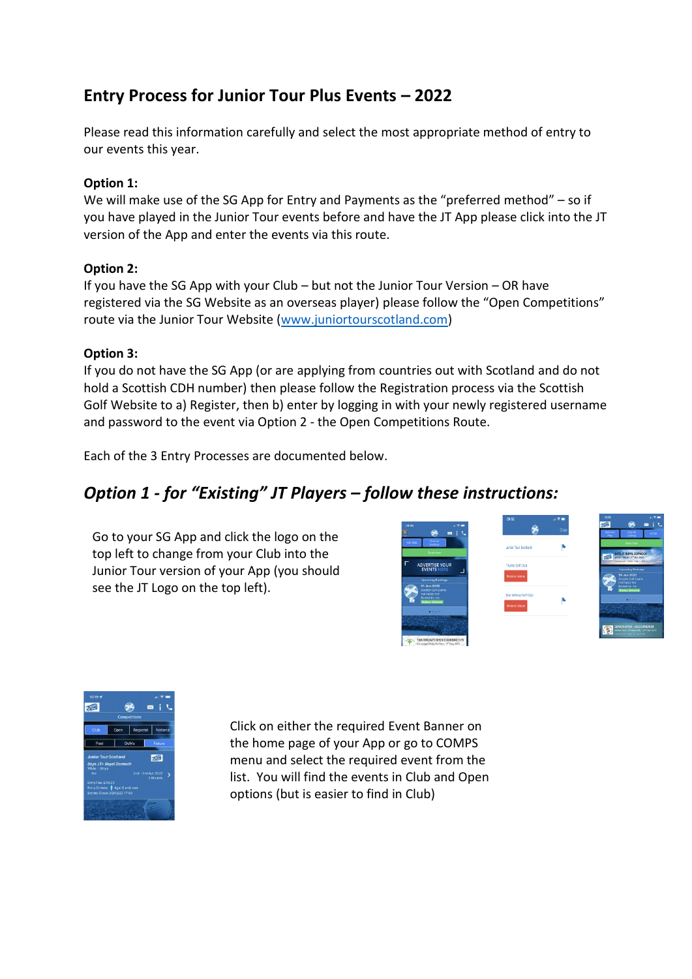### **Entry Process for Junior Tour Plus Events – 2022**

Please read this information carefully and select the most appropriate method of entry to our events this year.

#### **Option 1:**

We will make use of the SG App for Entry and Payments as the "preferred method" – so if you have played in the Junior Tour events before and have the JT App please click into the JT version of the App and enter the events via this route.

#### **Option 2:**

If you have the SG App with your Club – but not the Junior Tour Version – OR have registered via the SG Website as an overseas player) please follow the "Open Competitions" route via the Junior Tour Website [\(www.juniortourscotland.com\)](http://www.juniortourscotland.com/)

#### **Option 3:**

If you do not have the SG App (or are applying from countries out with Scotland and do not hold a Scottish CDH number) then please follow the Registration process via the Scottish Golf Website to a) Register, then b) enter by logging in with your newly registered username and password to the event via Option 2 - the Open Competitions Route.

Each of the 3 Entry Processes are documented below.

## *Option 1 - for "Existing" JT Players – follow these instructions:*

Go to your SG App and click the logo on the top left to change from your Club into the Junior Tour version of your App (you should see the JT Logo on the top left).





Click on either the required Event Banner on the home page of your App or go to COMPS menu and select the required event from the list. You will find the events in Club and Open options (but is easier to find in Club)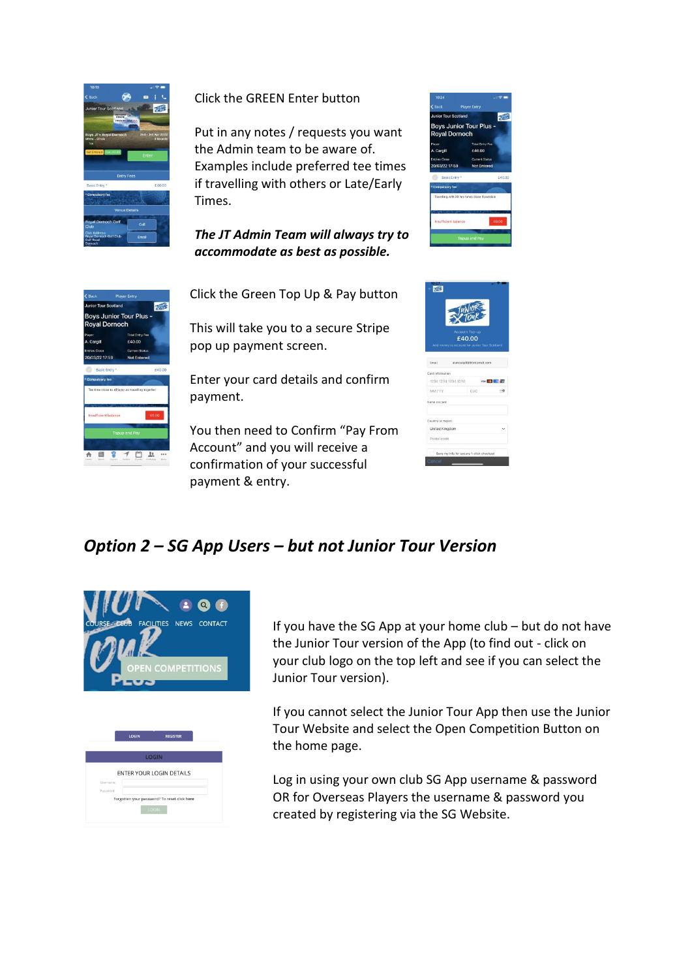

### Click the GREEN Enter button

Put in any notes / requests you want the Admin team to be aware of. Examples include preferred tee times if travelling with others or Late/Early Times.

*The JT Admin Team will always try to accommodate as best as possible.*



Click the Green Top Up & Pay button

This will take you to a secure Stripe pop up payment screen.

Enter your card details and confirm payment.

You then need to Confirm "Pay From Account" and you will receive a confirmation of your successful payment & entry.





### *Option 2 – SG App Users – but not Junior Tour Version*



| <b>LOGIN</b><br><b>ENTER YOUR LOGIN DETAILS</b><br>Lisername: |
|---------------------------------------------------------------|
|                                                               |
|                                                               |
|                                                               |
|                                                               |
|                                                               |
| Password:                                                     |
| Forgotten your password? To reset click here                  |

If you have the SG App at your home club – but do not have the Junior Tour version of the App (to find out - click on your club logo on the top left and see if you can select the Junior Tour version).

If you cannot select the Junior Tour App then use the Junior Tour Website and select the Open Competition Button on the home page.

Log in using your own club SG App username & password OR for Overseas Players the username & password you created by registering via the SG Website.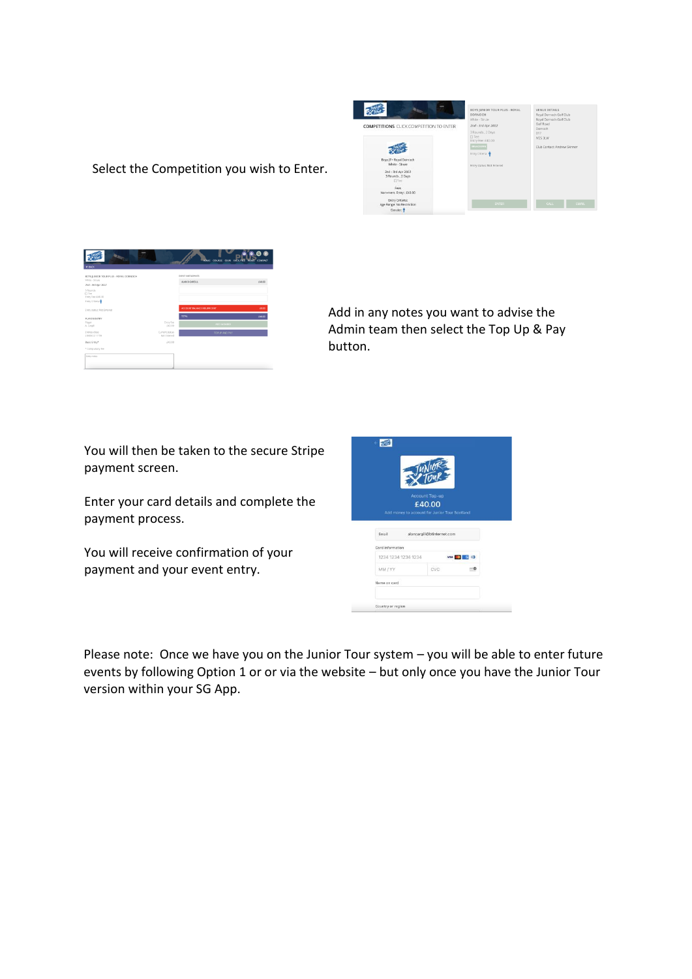

**. 2000 - 2000 - 2000 - 2000 - 2000 - 2000 - 2000 - 2000 - 2000 - 2000 - 2000 - 2000 - 2000 - 2000 - 2000 - 2000 - 2000 - 2000 - 2000 - 2000 - 2000 - 2000 - 2000 - 2000 - 2000 - 2000 - 2000 - 2000 - 2000 - 2000 - 2000 - 20** *.*

Select the Competition you wish to Enter.

Add in any notes you want to advise the Admin team then select the Top Up & Pay button.

You will then be taken to the secure Stripe *.* payment screen.

Enter your card details and complete the payment process.

You will receive confirmation of your payment and your event entry.

|                  | Account Top-up                                |                            |                |  |
|------------------|-----------------------------------------------|----------------------------|----------------|--|
|                  | £40.00                                        |                            |                |  |
|                  | Add money to account for Junior Tour Scotland |                            |                |  |
|                  |                                               |                            |                |  |
|                  |                                               |                            |                |  |
| Email            |                                               | alancargill@btinternet.com |                |  |
| Card information |                                               |                            |                |  |
|                  | 1234 1234 1234 1234                           |                            | <b>VISA CO</b> |  |
| MM / YY          |                                               | CVC                        |                |  |
| Name on card     |                                               |                            |                |  |
|                  |                                               |                            |                |  |

Please note: Once we have you on the Junior Tour system – you will be able to enter future *.*events by following Option 1 or or via the website – but only once you have the Junior Tour version within your SG App.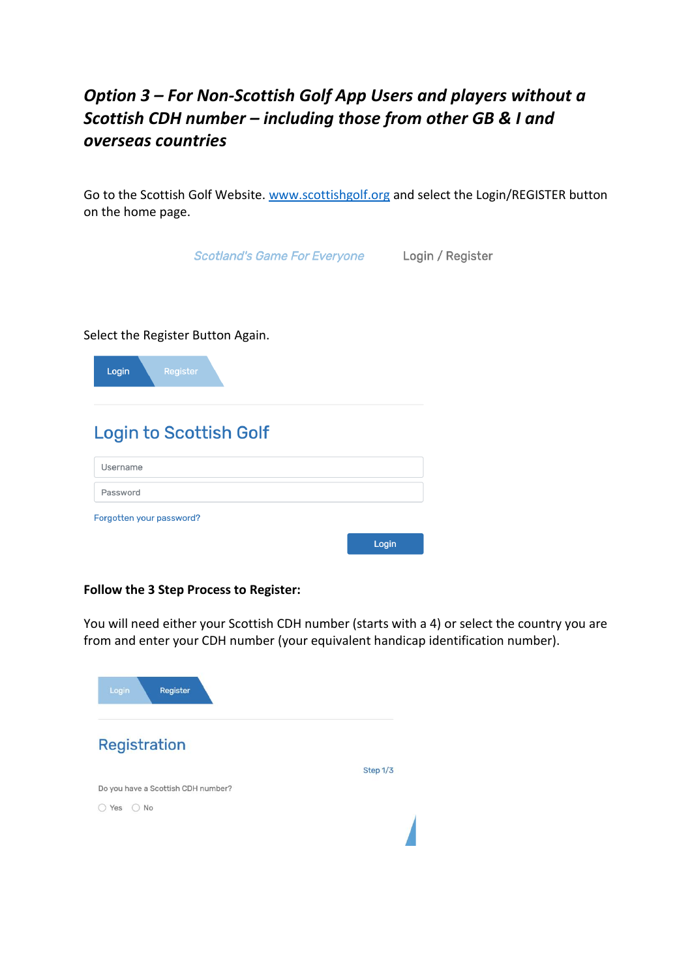# *Option 3 – For Non-Scottish Golf App Users and players without a Scottish CDH number – including those from other GB & I and overseas countries*

Go to the Scottish Golf Website. [www.scottishgolf.org](http://www.scottishgolf.org/) and select the Login/REGISTER button on the home page.

|                                   | <b>Scotland's Game For Everyone</b> | Login / Register |
|-----------------------------------|-------------------------------------|------------------|
|                                   |                                     |                  |
|                                   |                                     |                  |
| Select the Register Button Again. |                                     |                  |
| Register<br>Login                 |                                     |                  |
|                                   |                                     |                  |
| <b>Login to Scottish Golf</b>     |                                     |                  |
| Username                          |                                     |                  |
| Password                          |                                     |                  |
| Forgotten your password?          |                                     |                  |
|                                   |                                     | Login            |

#### **Follow the 3 Step Process to Register:**

You will need either your Scottish CDH number (starts with a 4) or select the country you are from and enter your CDH number (your equivalent handicap identification number).